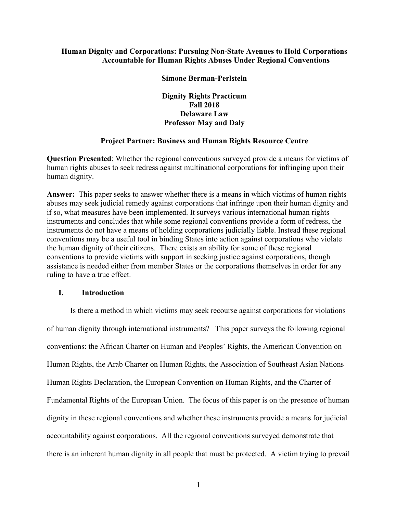# **Human Dignity and Corporations: Pursuing Non-State Avenues to Hold Corporations Accountable for Human Rights Abuses Under Regional Conventions**

### **Simone Berman-Perlstein**

**Dignity Rights Practicum Fall 2018 Delaware Law Professor May and Daly**

# **Project Partner: Business and Human Rights Resource Centre**

**Question Presented**: Whether the regional conventions surveyed provide a means for victims of human rights abuses to seek redress against multinational corporations for infringing upon their human dignity.

**Answer:** This paper seeks to answer whether there is a means in which victims of human rights abuses may seek judicial remedy against corporations that infringe upon their human dignity and if so, what measures have been implemented. It surveys various international human rights instruments and concludes that while some regional conventions provide a form of redress, the instruments do not have a means of holding corporations judicially liable. Instead these regional conventions may be a useful tool in binding States into action against corporations who violate the human dignity of their citizens. There exists an ability for some of these regional conventions to provide victims with support in seeking justice against corporations, though assistance is needed either from member States or the corporations themselves in order for any ruling to have a true effect.

# **I. Introduction**

Is there a method in which victims may seek recourse against corporations for violations of human dignity through international instruments? This paper surveys the following regional conventions: the African Charter on Human and Peoples' Rights, the American Convention on Human Rights, the Arab Charter on Human Rights, the Association of Southeast Asian Nations Human Rights Declaration, the European Convention on Human Rights, and the Charter of Fundamental Rights of the European Union. The focus of this paper is on the presence of human dignity in these regional conventions and whether these instruments provide a means for judicial accountability against corporations. All the regional conventions surveyed demonstrate that there is an inherent human dignity in all people that must be protected. A victim trying to prevail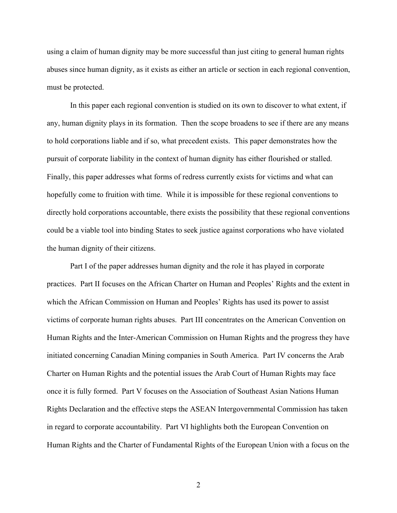using a claim of human dignity may be more successful than just citing to general human rights abuses since human dignity, as it exists as either an article or section in each regional convention, must be protected.

In this paper each regional convention is studied on its own to discover to what extent, if any, human dignity plays in its formation. Then the scope broadens to see if there are any means to hold corporations liable and if so, what precedent exists. This paper demonstrates how the pursuit of corporate liability in the context of human dignity has either flourished or stalled. Finally, this paper addresses what forms of redress currently exists for victims and what can hopefully come to fruition with time. While it is impossible for these regional conventions to directly hold corporations accountable, there exists the possibility that these regional conventions could be a viable tool into binding States to seek justice against corporations who have violated the human dignity of their citizens.

Part I of the paper addresses human dignity and the role it has played in corporate practices. Part II focuses on the African Charter on Human and Peoples' Rights and the extent in which the African Commission on Human and Peoples' Rights has used its power to assist victims of corporate human rights abuses. Part III concentrates on the American Convention on Human Rights and the Inter-American Commission on Human Rights and the progress they have initiated concerning Canadian Mining companies in South America. Part IV concerns the Arab Charter on Human Rights and the potential issues the Arab Court of Human Rights may face once it is fully formed. Part V focuses on the Association of Southeast Asian Nations Human Rights Declaration and the effective steps the ASEAN Intergovernmental Commission has taken in regard to corporate accountability. Part VI highlights both the European Convention on Human Rights and the Charter of Fundamental Rights of the European Union with a focus on the

2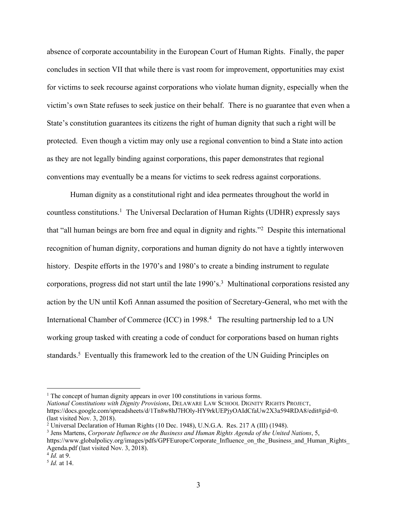absence of corporate accountability in the European Court of Human Rights. Finally, the paper concludes in section VII that while there is vast room for improvement, opportunities may exist for victims to seek recourse against corporations who violate human dignity, especially when the victim's own State refuses to seek justice on their behalf. There is no guarantee that even when a State's constitution guarantees its citizens the right of human dignity that such a right will be protected. Even though a victim may only use a regional convention to bind a State into action as they are not legally binding against corporations, this paper demonstrates that regional conventions may eventually be a means for victims to seek redress against corporations.

Human dignity as a constitutional right and idea permeates throughout the world in countless constitutions.<sup>1</sup> The Universal Declaration of Human Rights (UDHR) expressly says that "all human beings are born free and equal in dignity and rights."<sup>2</sup> Despite this international recognition of human dignity, corporations and human dignity do not have a tightly interwoven history. Despite efforts in the 1970's and 1980's to create a binding instrument to regulate corporations, progress did not start until the late 1990's.3 Multinational corporations resisted any action by the UN until Kofi Annan assumed the position of Secretary-General, who met with the International Chamber of Commerce (ICC) in 1998.<sup>4</sup> The resulting partnership led to a UN working group tasked with creating a code of conduct for corporations based on human rights standards.5 Eventually this framework led to the creation of the UN Guiding Principles on

*National Constitutions with Dignity Provisions*, DELAWARE LAW SCHOOL DIGNITY RIGHTS PROJECT, https://docs.google.com/spreadsheets/d/1Tn8w8hJ7HOly-HY9rkUEPjyOAIdCfaUw2X3a594RDA8/edit#gid=0. (last visited Nov. 3, 2018).

<sup>&</sup>lt;sup>1</sup> The concept of human dignity appears in over 100 constitutions in various forms.

<sup>&</sup>lt;sup>2</sup> Universal Declaration of Human Rights (10 Dec. 1948), U.N.G.A. Res. 217 A (III) (1948).

<sup>3</sup> Jens Martens, *Corporate Influence on the Business and Human Rights Agenda of the United Nations*, 5, https://www.globalpolicy.org/images/pdfs/GPFEurope/Corporate\_Influence\_on\_the\_Business\_and\_Human\_Rights Agenda.pdf (last visited Nov. 3, 2018).

<sup>4</sup> *Id.* at 9.

<sup>5</sup> *Id.* at 14.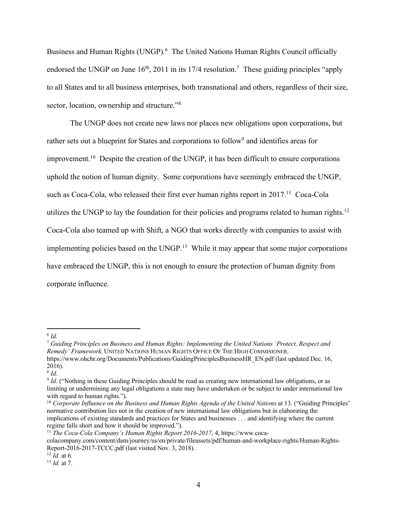Business and Human Rights (UNGP). 6 The United Nations Human Rights Council officially endorsed the UNGP on June  $16<sup>th</sup>$ , 2011 in its 17/4 resolution.<sup>7</sup> These guiding principles "apply to all States and to all business enterprises, both transnational and others, regardless of their size, sector, location, ownership and structure."<sup>8</sup>

The UNGP does not create new laws nor places new obligations upon corporations, but rather sets out a blueprint for States and corporations to follow<sup>9</sup> and identifies areas for improvement.<sup>10</sup> Despite the creation of the UNGP, it has been difficult to ensure corporations uphold the notion of human dignity. Some corporations have seemingly embraced the UNGP, such as Coca-Cola, who released their first ever human rights report in 2017.<sup>11</sup> Coca-Cola utilizes the UNGP to lay the foundation for their policies and programs related to human rights.<sup>12</sup> Coca-Cola also teamed up with Shift, a NGO that works directly with companies to assist with implementing policies based on the UNGP.<sup>13</sup> While it may appear that some major corporations have embraced the UNGP, this is not enough to ensure the protection of human dignity from corporate influence.

<sup>6</sup> *Id.*

<sup>7</sup> *Guiding Principles on Business and Human Rights: Implementing the United Nations 'Protect, Respect and Remedy' Framework*, UNITED NATIONS HUMAN RIGHTS OFFICE OF THE HIGH COMMISIONER, https://www.ohchr.org/Documents/Publications/GuidingPrinciplesBusinessHR\_EN.pdf (last updated Dec. 16, 2016).

<sup>&</sup>lt;sup>8</sup> *Id*. ("Nothing in these Guiding Principles should be read as creating new international law obligations, or as <sup>9</sup> *Id*. ("Nothing in these Guiding Principles should be read as creating new international law obligatio limiting or undermining any legal obligations a state may have undertaken or be subject to under international law with regard to human rights.").

<sup>&</sup>lt;sup>10</sup> Corporate Influence on the Business and Human Rights Agenda of the United Nations at 13. ("Guiding Principles' normative contribution lies not in the creation of new international law obligations but in elaborating the implications of existing standards and practices for States and businesses . . . and identifying where the current regime falls short and how it should be improved.").

<sup>11</sup> *The Coca-Cola Company's Human Rights Report 2016-2017*, 4, https://www.coca-

colacompany.com/content/dam/journey/us/en/private/fileassets/pdf/human-and-workplace-rights/Human-Rights-Report-2016-2017-TCCC.pdf (last visited Nov. 3, 2018).

<sup>12</sup> *Id.* at 6.

<sup>13</sup> *Id.* at 7.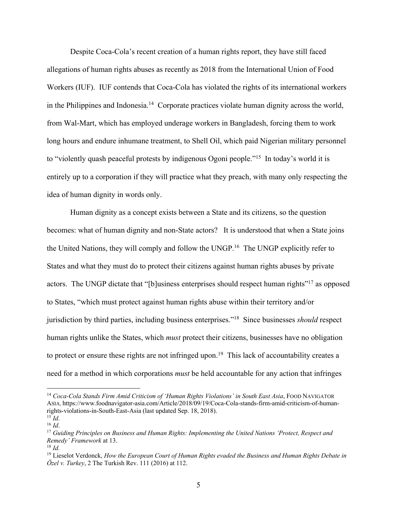Despite Coca-Cola's recent creation of a human rights report, they have still faced allegations of human rights abuses as recently as 2018 from the International Union of Food Workers (IUF). IUF contends that Coca-Cola has violated the rights of its international workers in the Philippines and Indonesia.14 Corporate practices violate human dignity across the world, from Wal-Mart, which has employed underage workers in Bangladesh, forcing them to work long hours and endure inhumane treatment, to Shell Oil, which paid Nigerian military personnel to "violently quash peaceful protests by indigenous Ogoni people."<sup>15</sup> In today's world it is entirely up to a corporation if they will practice what they preach, with many only respecting the idea of human dignity in words only.

Human dignity as a concept exists between a State and its citizens, so the question becomes: what of human dignity and non-State actors? It is understood that when a State joins the United Nations, they will comply and follow the UNGP.<sup>16</sup> The UNGP explicitly refer to States and what they must do to protect their citizens against human rights abuses by private actors. The UNGP dictate that "[b]usiness enterprises should respect human rights"17 as opposed to States, "which must protect against human rights abuse within their territory and/or jurisdiction by third parties, including business enterprises."18 Since businesses *should* respect human rights unlike the States, which *must* protect their citizens, businesses have no obligation to protect or ensure these rights are not infringed upon.<sup>19</sup> This lack of accountability creates a need for a method in which corporations *must* be held accountable for any action that infringes

<sup>&</sup>lt;sup>14</sup> Coca-Cola Stands Firm Amid Criticism of 'Human Rights Violations' in South East Asia, FOOD NAVIGATOR ASIA, https://www.foodnavigator-asia.com/Article/2018/09/19/Coca-Cola-stands-firm-amid-criticism-of-humanrights-violations-in-South-East-Asia (last updated Sep. 18, 2018).

<sup>15</sup> *Id*. 16 *Id*.

<sup>17</sup> *Guiding Principles on Business and Human Rights: Implementing the United Nations 'Protect, Respect and Remedy' Framework* at 13.

<sup>18</sup> *Id.*

<sup>19</sup> Lieselot Verdonck, *How the European Court of Human Rights evaded the Business and Human Rights Debate in Özel v. Turkey*, 2 The Turkish Rev. 111 (2016) at 112.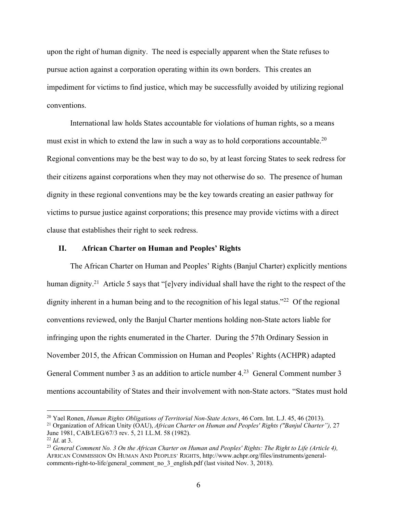upon the right of human dignity. The need is especially apparent when the State refuses to pursue action against a corporation operating within its own borders. This creates an impediment for victims to find justice, which may be successfully avoided by utilizing regional conventions.

International law holds States accountable for violations of human rights, so a means must exist in which to extend the law in such a way as to hold corporations accountable.20 Regional conventions may be the best way to do so, by at least forcing States to seek redress for their citizens against corporations when they may not otherwise do so. The presence of human dignity in these regional conventions may be the key towards creating an easier pathway for victims to pursue justice against corporations; this presence may provide victims with a direct clause that establishes their right to seek redress.

#### **II. African Charter on Human and Peoples' Rights**

 $\overline{a}$ 

The African Charter on Human and Peoples' Rights (Banjul Charter) explicitly mentions human dignity.<sup>21</sup> Article 5 says that "[e]very individual shall have the right to the respect of the dignity inherent in a human being and to the recognition of his legal status."<sup>22</sup> Of the regional conventions reviewed, only the Banjul Charter mentions holding non-State actors liable for infringing upon the rights enumerated in the Charter. During the 57th Ordinary Session in November 2015, the African Commission on Human and Peoples' Rights (ACHPR) adapted General Comment number 3 as an addition to article number 4.<sup>23</sup> General Comment number 3 mentions accountability of States and their involvement with non-State actors. "States must hold

<sup>&</sup>lt;sup>20</sup> Yael Ronen, *Human Rights Obligations of Territorial Non-State Actors*, 46 Corn. Int. L.J. 45, 46 (2013).<br><sup>21</sup> Organization of African Unity (OAU), *African Charter on Human and Peoples' Rights ("Banjul Charter")*, 2

June 1981, CAB/LEG/67/3 rev. 5, 21 I.L.M. 58 (1982). <sup>22</sup> *Id*. at 3.

<sup>23</sup> *General Comment No. 3 On the African Charter on Human and Peoples' Rights: The Right to Life (Article 4),*  AFRICAN COMMISSION ON HUMAN AND PEOPLES' RIGHTS, http://www.achpr.org/files/instruments/generalcomments-right-to-life/general\_comment\_no\_3\_english.pdf (last visited Nov. 3, 2018).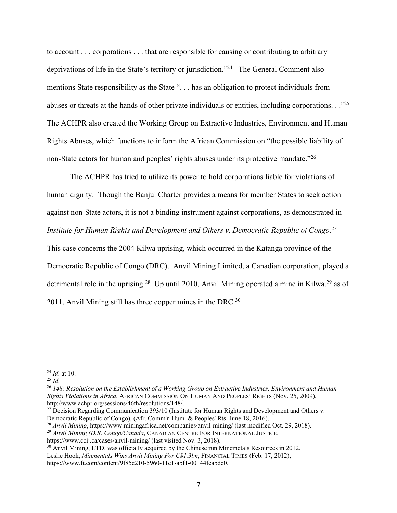to account . . . corporations . . . that are responsible for causing or contributing to arbitrary deprivations of life in the State's territory or jurisdiction."24 The General Comment also mentions State responsibility as the State ". . . has an obligation to protect individuals from abuses or threats at the hands of other private individuals or entities, including corporations. . ."25 The ACHPR also created the Working Group on Extractive Industries, Environment and Human Rights Abuses, which functions to inform the African Commission on "the possible liability of non-State actors for human and peoples' rights abuses under its protective mandate."<sup>26</sup>

The ACHPR has tried to utilize its power to hold corporations liable for violations of human dignity. Though the Banjul Charter provides a means for member States to seek action against non-State actors, it is not a binding instrument against corporations, as demonstrated in *Institute for Human Rights and Development and Others v. Democratic Republic of Congo. 27* This case concerns the 2004 Kilwa uprising, which occurred in the Katanga province of the

Democratic Republic of Congo (DRC). Anvil Mining Limited, a Canadian corporation, played a detrimental role in the uprising.<sup>28</sup> Up until 2010, Anvil Mining operated a mine in Kilwa.<sup>29</sup> as of 2011, Anvil Mining still has three copper mines in the DRC. $30$ 

<sup>24</sup> *Id.* at 10.

<sup>25</sup> *Id.*

<sup>26</sup> *148: Resolution on the Establishment of a Working Group on Extractive Industries, Environment and Human Rights Violations in Africa*, AFRICAN COMMISSION ON HUMAN AND PEOPLES' RIGHTS (Nov. 25, 2009), http://www.achpr.org/sessions/46th/resolutions/148/.

<sup>&</sup>lt;sup>27</sup> Decision Regarding Communication 393/10 (Institute for Human Rights and Development and Others v. Democratic Republic of Congo), (Afr. Comm'n Hum. & Peoples' Rts. June 18, 2016).

<sup>28</sup> *Anvil Mining*, https://www.miningafrica.net/companies/anvil-mining/ (last modified Oct. 29, 2018).

<sup>29</sup> *Anvil Mining (D.R. Congo/Canada*, CANADIAN CENTRE FOR INTERNATIONAL JUSTICE,

https://www.ccij.ca/cases/anvil-mining/ (last visited Nov. 3, 2018).

<sup>&</sup>lt;sup>30</sup> Anvil Mining, LTD. was officially acquired by the Chinese run Minemetals Resources in 2012. Leslie Hook, *Minmentals Wins Anvil Mining For C\$1.3bn*, FINANCIAL TIMES (Feb. 17, 2012), https://www.ft.com/content/9f85e210-5960-11e1-abf1-00144feabdc0.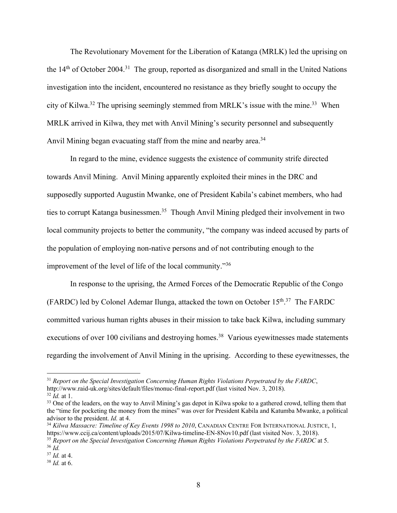The Revolutionary Movement for the Liberation of Katanga (MRLK) led the uprising on the  $14<sup>th</sup>$  of October 2004.<sup>31</sup> The group, reported as disorganized and small in the United Nations investigation into the incident, encountered no resistance as they briefly sought to occupy the city of Kilwa.<sup>32</sup> The uprising seemingly stemmed from MRLK's issue with the mine.<sup>33</sup> When MRLK arrived in Kilwa, they met with Anvil Mining's security personnel and subsequently Anvil Mining began evacuating staff from the mine and nearby area.<sup>34</sup>

In regard to the mine, evidence suggests the existence of community strife directed towards Anvil Mining. Anvil Mining apparently exploited their mines in the DRC and supposedly supported Augustin Mwanke, one of President Kabila's cabinet members, who had ties to corrupt Katanga businessmen.<sup>35</sup> Though Anvil Mining pledged their involvement in two local community projects to better the community, "the company was indeed accused by parts of the population of employing non-native persons and of not contributing enough to the improvement of the level of life of the local community."36

In response to the uprising, the Armed Forces of the Democratic Republic of the Congo (FARDC) led by Colonel Ademar Ilunga, attacked the town on October  $15<sup>th,37</sup>$  The FARDC committed various human rights abuses in their mission to take back Kilwa, including summary executions of over 100 civilians and destroying homes.<sup>38</sup> Various eyewitnesses made statements regarding the involvement of Anvil Mining in the uprising. According to these eyewitnesses, the

<sup>31</sup> *Report on the Special Investigation Concerning Human Rights Violations Perpetrated by the FARDC*, http://www.raid-uk.org/sites/default/files/monuc-final-report.pdf (last visited Nov. 3, 2018).

<sup>32</sup> *Id.* at 1.

<sup>&</sup>lt;sup>33</sup> One of the leaders, on the way to Anvil Mining's gas depot in Kilwa spoke to a gathered crowd, telling them that the "time for pocketing the money from the mines" was over for President Kabila and Katumba Mwanke, a political advisor to the president. *Id.* at 4.

<sup>34</sup> *Kilwa Massacre: Timeline of Key Events 1998 to 2010*, CANADIAN CENTRE FOR INTERNATIONAL JUSTICE, 1, https://www.ccij.ca/content/uploads/2015/07/Kilwa-timeline-EN-8Nov10.pdf (last visited Nov. 3, 2018). <sup>35</sup> *Report on the Special Investigation Concerning Human Rights Violations Perpetrated by the FARDC* at 5.

<sup>36</sup> *Id.*

<sup>37</sup> *Id.* at 4.

<sup>38</sup> *Id.* at 6.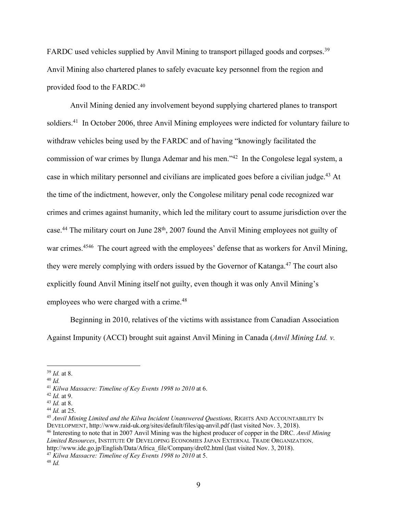FARDC used vehicles supplied by Anvil Mining to transport pillaged goods and corpses.<sup>39</sup> Anvil Mining also chartered planes to safely evacuate key personnel from the region and provided food to the FARDC.40

Anvil Mining denied any involvement beyond supplying chartered planes to transport soldiers.<sup>41</sup> In October 2006, three Anvil Mining employees were indicted for voluntary failure to withdraw vehicles being used by the FARDC and of having "knowingly facilitated the commission of war crimes by Ilunga Ademar and his men."42 In the Congolese legal system, a case in which military personnel and civilians are implicated goes before a civilian judge.43 At the time of the indictment, however, only the Congolese military penal code recognized war crimes and crimes against humanity, which led the military court to assume jurisdiction over the case.<sup>44</sup> The military court on June 28<sup>th</sup>, 2007 found the Anvil Mining employees not guilty of war crimes.<sup>4546</sup> The court agreed with the employees' defense that as workers for Anvil Mining, they were merely complying with orders issued by the Governor of Katanga.<sup>47</sup> The court also explicitly found Anvil Mining itself not guilty, even though it was only Anvil Mining's employees who were charged with a crime.<sup>48</sup>

Beginning in 2010, relatives of the victims with assistance from Canadian Association Against Impunity (ACCI) brought suit against Anvil Mining in Canada (*Anvil Mining Ltd. v.* 

<sup>39</sup> *Id.* at 8.

<sup>40</sup> *Id.*

<sup>41</sup> *Kilwa Massacre: Timeline of Key Events 1998 to 2010* at 6.

<sup>42</sup> *Id.* at 9.

<sup>43</sup> *Id.* at 8.

<sup>44</sup> *Id.* at 25.

<sup>45</sup> Anvil Mining Limited and the Kilwa Incident Unanswered Questions, RIGHTS AND ACCOUNTABILITY IN DEVELOPMENT, http://www.raid-uk.org/sites/default/files/qq-anvil.pdf (last visited Nov. 3, 2018). <sup>46</sup> Interesting to note that in 2007 Anvil Mining was the highest producer of copper in the DRC. *Anvil Mining Limited Resources*, INSTITUTE OF DEVELOPING ECONOMIES JAPAN EXTERNAL TRADE ORGANIZATION, http://www.ide.go.jp/English/Data/Africa\_file/Company/drc02.html (last visited Nov. 3, 2018).

<sup>47</sup> *Kilwa Massacre: Timeline of Key Events 1998 to 2010* at 5.

<sup>48</sup> *Id.*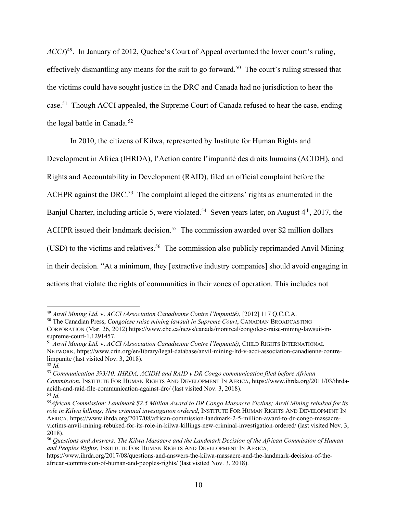*ACCI*<sup>49</sup>. In January of 2012, Quebec's Court of Appeal overturned the lower court's ruling, effectively dismantling any means for the suit to go forward.<sup>50</sup> The court's ruling stressed that the victims could have sought justice in the DRC and Canada had no jurisdiction to hear the case.<sup>51</sup> Though ACCI appealed, the Supreme Court of Canada refused to hear the case, ending the legal battle in Canada.52

In 2010, the citizens of Kilwa, represented by Institute for Human Rights and

Development in Africa (IHRDA), l'Action contre l'impunité des droits humains (ACIDH), and

Rights and Accountability in Development (RAID), filed an official complaint before the

ACHPR against the DRC.<sup>53</sup> The complaint alleged the citizens' rights as enumerated in the

Banjul Charter, including article 5, were violated.<sup>54</sup> Seven years later, on August 4<sup>th</sup>, 2017, the

ACHPR issued their landmark decision.<sup>55</sup> The commission awarded over \$2 million dollars

(USD) to the victims and relatives.<sup>56</sup> The commission also publicly reprimanded Anvil Mining

in their decision. "At a minimum, they [extractive industry companies] should avoid engaging in

actions that violate the rights of communities in their zones of operation. This includes not

<sup>49</sup> *Anvil Mining Ltd.* v. *ACCI (Association Canadienne Contre l'Impunité)*, [2012] 117 Q.C.C.A.

<sup>50</sup> The Canadian Press, *Congolese raise mining lawsuit in Supreme Court*, CANADIAN BROADCASTING

CORPORATION (Mar. 26, 2012) https://www.cbc.ca/news/canada/montreal/congolese-raise-mining-lawsuit-insupreme-court-1.1291457.

<sup>51</sup> *Anvil Mining Ltd.* v. *ACCI (Association Canadienne Contre l'Impunité)*, CHILD RIGHTS INTERNATIONAL NETWORK, https://www.crin.org/en/library/legal-database/anvil-mining-ltd-v-acci-association-canadienne-contrelimpunite (last visited Nov. 3, 2018).

<sup>52</sup> *Id.*

<sup>53</sup> *Communication 393/10: IHRDA, ACIDH and RAID v DR Congo communication filed before African Commission*, INSTITUTE FOR HUMAN RIGHTS AND DEVELOPMENT IN AFRICA, https://www.ihrda.org/2011/03/ihrdaacidh-and-raid-file-communication-against-drc/ (last visited Nov. 3, 2018). <sup>54</sup> *Id.*

<sup>55</sup>*African Commission: Landmark \$2.5 Million Award to DR Congo Massacre Victims; Anvil Mining rebuked for its role in Kilwa killings; New criminal investigation ordered*, INSTITUTE FOR HUMAN RIGHTS AND DEVELOPMENT IN AFRICA, https://www.ihrda.org/2017/08/african-commission-landmark-2-5-million-award-to-dr-congo-massacrevictims-anvil-mining-rebuked-for-its-role-in-kilwa-killings-new-criminal-investigation-ordered/ (last visited Nov. 3, 2018).

<sup>56</sup> *Questions and Answers: The Kilwa Massacre and the Landmark Decision of the African Commission of Human and Peoples Rights*, INSTITUTE FOR HUMAN RIGHTS AND DEVELOPMENT IN AFRICA,

https://www.ihrda.org/2017/08/questions-and-answers-the-kilwa-massacre-and-the-landmark-decision-of-theafrican-commission-of-human-and-peoples-rights/ (last visited Nov. 3, 2018).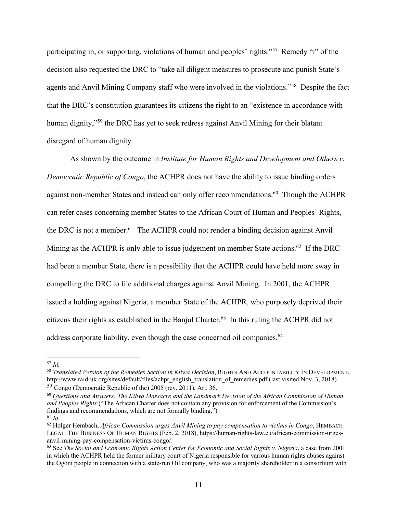participating in, or supporting, violations of human and peoples' rights."57 Remedy "i" of the decision also requested the DRC to "take all diligent measures to prosecute and punish State's agents and Anvil Mining Company staff who were involved in the violations."58 Despite the fact that the DRC's constitution guarantees its citizens the right to an "existence in accordance with human dignity,"<sup>59</sup> the DRC has yet to seek redress against Anvil Mining for their blatant disregard of human dignity.

As shown by the outcome in *Institute for Human Rights and Development and Others v. Democratic Republic of Congo*, the ACHPR does not have the ability to issue binding orders against non-member States and instead can only offer recommendations.<sup>60</sup> Though the ACHPR can refer cases concerning member States to the African Court of Human and Peoples' Rights, the DRC is not a member.<sup>61</sup> The ACHPR could not render a binding decision against Anvil Mining as the ACHPR is only able to issue judgement on member State actions.<sup>62</sup> If the DRC had been a member State, there is a possibility that the ACHPR could have held more sway in compelling the DRC to file additional charges against Anvil Mining. In 2001, the ACHPR issued a holding against Nigeria, a member State of the ACHPR, who purposely deprived their citizens their rights as established in the Banjul Charter. 63 In this ruling the ACHPR did not address corporate liability, even though the case concerned oil companies.<sup>64</sup>

<sup>57</sup> *Id.*

<sup>58</sup> *Translated Version of the Remedies Section in Kilwa Decision*, RIGHTS AND ACCOUNTABILITY IN DEVELOPMENT, http://www.raid-uk.org/sites/default/files/achpr\_english\_translation\_of\_remedies.pdf (last visited Nov. 3, 2018). <sup>59</sup> Congo (Democratic Republic of the) 2005 (rev. 2011), Art. 36.

<sup>60</sup> *Questions and Answers: The Kilwa Massacre and the Landmark Decision of the African Commission of Human and Peoples Rights* ("The African Charter does not contain any provision for enforcement of the Commission's findings and recommendations, which are not formally binding.") <sup>61</sup> *Id.*

<sup>62</sup> Holger Hembach, *African Commission urges Anvil Mining to pay compensation to victims in Congo*, HEMBACH LEGAL: THE BUSINESS OF HUMAN RIGHTS (Feb. 2, 2018), https://human-rights-law.eu/african-commission-urgesanvil-mining-pay-compensation-victims-congo/.

<sup>63</sup> See *The Social and Economic Rights Action Center for Economic and Social Rights v. Nigeria*, a case from 2001 in which the ACHPR held the former military court of Nigeria responsible for various human rights abuses against the Ogoni people in connection with a state-run Oil company, who was a majority shareholder in a consortium with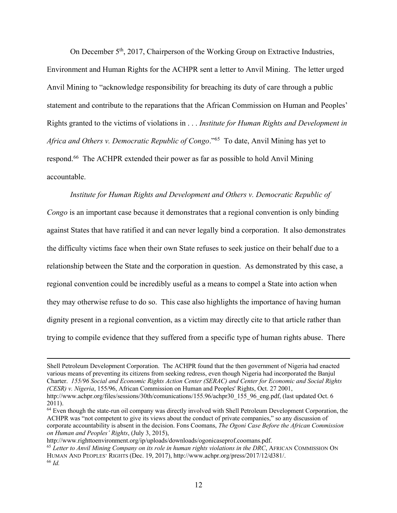On December 5th, 2017, Chairperson of the Working Group on Extractive Industries, Environment and Human Rights for the ACHPR sent a letter to Anvil Mining. The letter urged Anvil Mining to "acknowledge responsibility for breaching its duty of care through a public statement and contribute to the reparations that the African Commission on Human and Peoples' Rights granted to the victims of violations in . . . *Institute for Human Rights and Development in Africa and Others v. Democratic Republic of Congo*."65 To date, Anvil Mining has yet to respond.66 The ACHPR extended their power as far as possible to hold Anvil Mining accountable.

*Institute for Human Rights and Development and Others v. Democratic Republic of Congo* is an important case because it demonstrates that a regional convention is only binding against States that have ratified it and can never legally bind a corporation. It also demonstrates the difficulty victims face when their own State refuses to seek justice on their behalf due to a relationship between the State and the corporation in question. As demonstrated by this case, a regional convention could be incredibly useful as a means to compel a State into action when they may otherwise refuse to do so. This case also highlights the importance of having human dignity present in a regional convention, as a victim may directly cite to that article rather than trying to compile evidence that they suffered from a specific type of human rights abuse. There

<u>.</u>

Shell Petroleum Development Corporation. The ACHPR found that the then government of Nigeria had enacted various means of preventing its citizens from seeking redress, even though Nigeria had incorporated the Banjul Charter. *155/96 Social and Economic Rights Action Center (SERAC) and Center for Economic and Social Rights (CESR) v. Nigeria*, 155/96, African Commission on Human and Peoples' Rights, Oct. 27 2001,

http://www.achpr.org/files/sessions/30th/comunications/155.96/achpr30\_155\_96\_eng.pdf, (last updated Oct. 6 2011).

<sup>&</sup>lt;sup>64</sup> Even though the state-run oil company was directly involved with Shell Petroleum Development Corporation, the ACHPR was "not competent to give its views about the conduct of private companies," so any discussion of corporate accountability is absent in the decision. Fons Coomans, *The Ogoni Case Before the African Commission on Human and Peoples' Rights*, (July 3, 2015),

http://www.righttoenvironment.org/ip/uploads/downloads/ogonicaseprof.coomans.pdf.

<sup>65</sup> *Letter to Anvil Mining Company on its role in human rights violations in the DRC*, AFRICAN COMMISSION ON HUMAN AND PEOPLES' RIGHTS (Dec. 19, 2017), http://www.achpr.org/press/2017/12/d381/. <sup>66</sup> *Id.*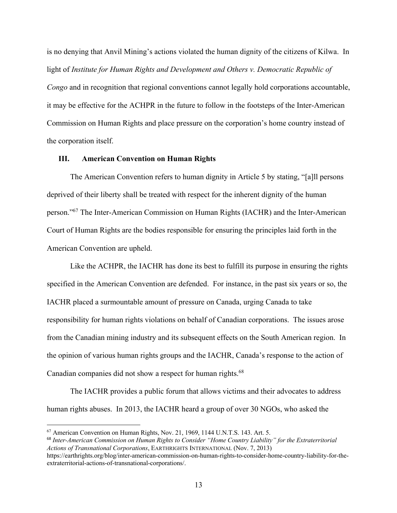is no denying that Anvil Mining's actions violated the human dignity of the citizens of Kilwa. In light of *Institute for Human Rights and Development and Others v. Democratic Republic of Congo* and in recognition that regional conventions cannot legally hold corporations accountable, it may be effective for the ACHPR in the future to follow in the footsteps of the Inter-American Commission on Human Rights and place pressure on the corporation's home country instead of the corporation itself.

### **III. American Convention on Human Rights**

The American Convention refers to human dignity in Article 5 by stating, "[a]ll persons deprived of their liberty shall be treated with respect for the inherent dignity of the human person."67 The Inter-American Commission on Human Rights (IACHR) and the Inter-American Court of Human Rights are the bodies responsible for ensuring the principles laid forth in the American Convention are upheld.

Like the ACHPR, the IACHR has done its best to fulfill its purpose in ensuring the rights specified in the American Convention are defended. For instance, in the past six years or so, the IACHR placed a surmountable amount of pressure on Canada, urging Canada to take responsibility for human rights violations on behalf of Canadian corporations. The issues arose from the Canadian mining industry and its subsequent effects on the South American region. In the opinion of various human rights groups and the IACHR, Canada's response to the action of Canadian companies did not show a respect for human rights.68

The IACHR provides a public forum that allows victims and their advocates to address human rights abuses. In 2013, the IACHR heard a group of over 30 NGOs, who asked the

<sup>67</sup> American Convention on Human Rights, Nov. 21, 1969, 1144 U.N.T.S. 143. Art. 5.

<sup>68</sup> *Inter-American Commission on Human Rights to Consider "Home Country Liability" for the Extraterritorial Actions of Transnational Corporations*, EARTHRIGHTS INTERNATIONAL (Nov. 7, 2013)

https://earthrights.org/blog/inter-american-commission-on-human-rights-to-consider-home-country-liability-for-theextraterritorial-actions-of-transnational-corporations/.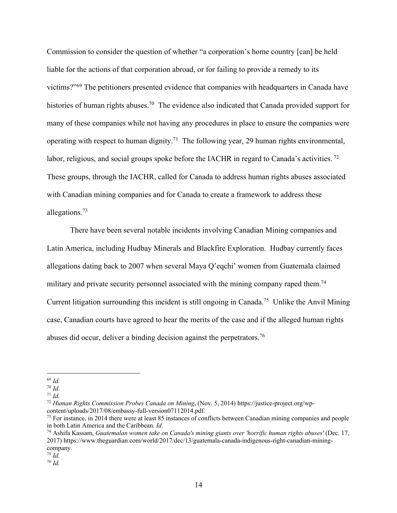Commission to consider the question of whether "a corporation's home country [can] be held liable for the actions of that corporation abroad, or for failing to provide a remedy to its victims?"69 The petitioners presented evidence that companies with headquarters in Canada have histories of human rights abuses.<sup>70</sup> The evidence also indicated that Canada provided support for many of these companies while not having any procedures in place to ensure the companies were operating with respect to human dignity.<sup>71</sup> The following year, 29 human rights environmental, labor, religious, and social groups spoke before the IACHR in regard to Canada's activities.<sup>72</sup> These groups, through the IACHR, called for Canada to address human rights abuses associated with Canadian mining companies and for Canada to create a framework to address these allegations.73

There have been several notable incidents involving Canadian Mining companies and Latin America, including Hudbay Minerals and Blackfire Exploration. Hudbay currently faces allegations dating back to 2007 when several Maya Q'eqchi' women from Guatemala claimed military and private security personnel associated with the mining company raped them.<sup>74</sup> Current litigation surrounding this incident is still ongoing in Canada.75 Unlike the Anvil Mining case, Canadian courts have agreed to hear the merits of the case and if the alleged human rights abuses did occur, deliver a binding decision against the perpetrators.<sup>76</sup>

 $\overline{a}$ 

<sup>76</sup> *Id.*

<sup>69</sup> *Id.*

<sup>70</sup> *Id*. 71 *Id.*

<sup>72</sup> *Human Rights Commission Probes Canada on Mining*, (Nov. 5, 2014) https://justice-project.org/wpcontent/uploads/2017/08/embassy-full-version07112014.pdf.

<sup>&</sup>lt;sup>73</sup> For instance, in 2014 there were at least 85 instances of conflicts between Canadian mining companies and people in both Latin America and the Caribbean. *Id.*

<sup>74</sup> Ashifa Kassam, *Guatemalan women take on Canada's mining giants over 'horrific human rights abuses'* (Dec. 17, 2017) https://www.theguardian.com/world/2017/dec/13/guatemala-canada-indigenous-right-canadian-miningcompany.

<sup>75</sup> *Id.*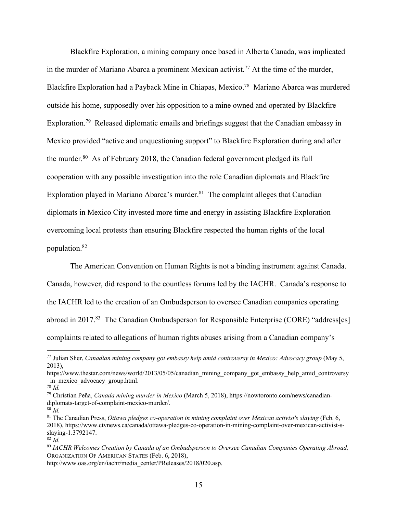Blackfire Exploration, a mining company once based in Alberta Canada, was implicated in the murder of Mariano Abarca a prominent Mexican activist. <sup>77</sup> At the time of the murder, Blackfire Exploration had a Payback Mine in Chiapas, Mexico.<sup>78</sup> Mariano Abarca was murdered outside his home, supposedly over his opposition to a mine owned and operated by Blackfire Exploration.<sup>79</sup> Released diplomatic emails and briefings suggest that the Canadian embassy in Mexico provided "active and unquestioning support" to Blackfire Exploration during and after the murder.80 As of February 2018, the Canadian federal government pledged its full cooperation with any possible investigation into the role Canadian diplomats and Blackfire Exploration played in Mariano Abarca's murder. $81$  The complaint alleges that Canadian diplomats in Mexico City invested more time and energy in assisting Blackfire Exploration overcoming local protests than ensuring Blackfire respected the human rights of the local population. 82

The American Convention on Human Rights is not a binding instrument against Canada. Canada, however, did respond to the countless forums led by the IACHR. Canada's response to the IACHR led to the creation of an Ombudsperson to oversee Canadian companies operating abroad in 2017.<sup>83</sup> The Canadian Ombudsperson for Responsible Enterprise (CORE) "address[es] complaints related to allegations of human rights abuses arising from a Canadian company's

 $\overline{a}$ 

<sup>80</sup> *Id.*

<sup>77</sup> Julian Sher, *Canadian mining company got embassy help amid controversy in Mexico: Advocacy group* (May 5, 2013),

https://www.thestar.com/news/world/2013/05/05/canadian\_mining\_company\_got\_embassy\_help\_amid\_controversy in mexico advocacy group.html.

<sup>78</sup> *Id.*

<sup>79</sup> Christian Peña, *Canada mining murder in Mexico* (March 5, 2018), https://nowtoronto.com/news/canadiandiplomats-target-of-complaint-mexico-murder/.

<sup>81</sup> The Canadian Press, *Ottawa pledges co-operation in mining complaint over Mexican activist's slaying* (Feb. 6, 2018), https://www.ctvnews.ca/canada/ottawa-pledges-co-operation-in-mining-complaint-over-mexican-activist-sslaying-1.3792147.

<sup>82</sup> *Id.*

<sup>83</sup> *IACHR Welcomes Creation by Canada of an Ombudsperson to Oversee Canadian Companies Operating Abroad,*  ORGANIZATION OF AMERICAN STATES (Feb. 6, 2018),

http://www.oas.org/en/iachr/media\_center/PReleases/2018/020.asp.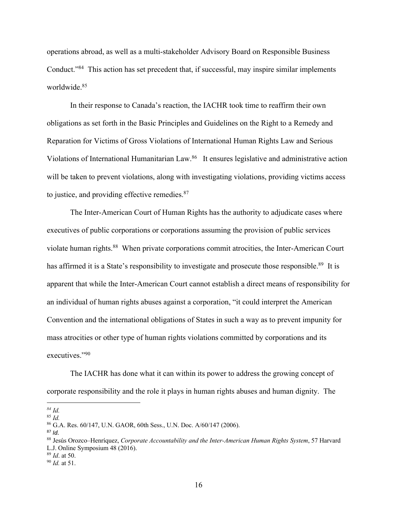operations abroad, as well as a multi-stakeholder Advisory Board on Responsible Business Conduct."84 This action has set precedent that, if successful, may inspire similar implements worldwide.85

In their response to Canada's reaction, the IACHR took time to reaffirm their own obligations as set forth in the Basic Principles and Guidelines on the Right to a Remedy and Reparation for Victims of Gross Violations of International Human Rights Law and Serious Violations of International Humanitarian Law.<sup>86</sup> It ensures legislative and administrative action will be taken to prevent violations, along with investigating violations, providing victims access to justice, and providing effective remedies.<sup>87</sup>

The Inter-American Court of Human Rights has the authority to adjudicate cases where executives of public corporations or corporations assuming the provision of public services violate human rights.<sup>88</sup> When private corporations commit atrocities, the Inter-American Court has affirmed it is a State's responsibility to investigate and prosecute those responsible.<sup>89</sup> It is apparent that while the Inter-American Court cannot establish a direct means of responsibility for an individual of human rights abuses against a corporation, "it could interpret the American Convention and the international obligations of States in such a way as to prevent impunity for mass atrocities or other type of human rights violations committed by corporations and its executives."90

The IACHR has done what it can within its power to address the growing concept of corporate responsibility and the role it plays in human rights abuses and human dignity. The

*<sup>84</sup> Id.*

<sup>85</sup> *Id.*

<sup>86</sup> G.A. Res. 60/147, U.N. GAOR, 60th Sess., U.N. Doc. A/60/147 (2006).

<sup>87</sup> *Id.*

<sup>88</sup> Jesús Orozco–Henríquez, *Corporate Accountability and the Inter-American Human Rights System*, 57 Harvard L.J. Online Symposium 48 (2016).

<sup>89</sup> *Id*. at 50.

<sup>90</sup> *Id.* at 51.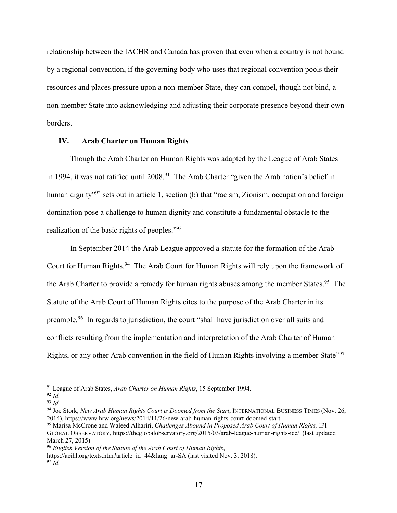relationship between the IACHR and Canada has proven that even when a country is not bound by a regional convention, if the governing body who uses that regional convention pools their resources and places pressure upon a non-member State, they can compel, though not bind, a non-member State into acknowledging and adjusting their corporate presence beyond their own borders.

### **IV. Arab Charter on Human Rights**

Though the Arab Charter on Human Rights was adapted by the League of Arab States in 1994, it was not ratified until  $2008<sup>91</sup>$  The Arab Charter "given the Arab nation's belief in human dignity<sup>"92</sup> sets out in article 1, section (b) that "racism, Zionism, occupation and foreign domination pose a challenge to human dignity and constitute a fundamental obstacle to the realization of the basic rights of peoples."93

In September 2014 the Arab League approved a statute for the formation of the Arab Court for Human Rights.<sup>94</sup> The Arab Court for Human Rights will rely upon the framework of the Arab Charter to provide a remedy for human rights abuses among the member States.<sup>95</sup> The Statute of the Arab Court of Human Rights cites to the purpose of the Arab Charter in its preamble.96 In regards to jurisdiction, the court "shall have jurisdiction over all suits and conflicts resulting from the implementation and interpretation of the Arab Charter of Human Rights, or any other Arab convention in the field of Human Rights involving a member State<sup>"97</sup>

<sup>91</sup> League of Arab States, *Arab Charter on Human Rights*, 15 September 1994.

<sup>92</sup> *Id.*

<sup>93</sup> *Id.*

<sup>94</sup> Joe Stork, *New Arab Human Rights Court is Doomed from the Start*, INTERNATIONAL BUSINESS TIMES (Nov. 26, 2014), https://www.hrw.org/news/2014/11/26/new-arab-human-rights-court-doomed-start.

<sup>95</sup> Marisa McCrone and Waleed Alhariri, *Challenges Abound in Proposed Arab Court of Human Rights,* IPI GLOBAL OBSERVATORY, https://theglobalobservatory.org/2015/03/arab-league-human-rights-icc/ (last updated March 27, 2015)

<sup>96</sup> *English Version of the Statute of the Arab Court of Human Rights*,

https://acihl.org/texts.htm?article\_id=44&lang=ar-SA (last visited Nov. 3, 2018).

<sup>97</sup> *Id.*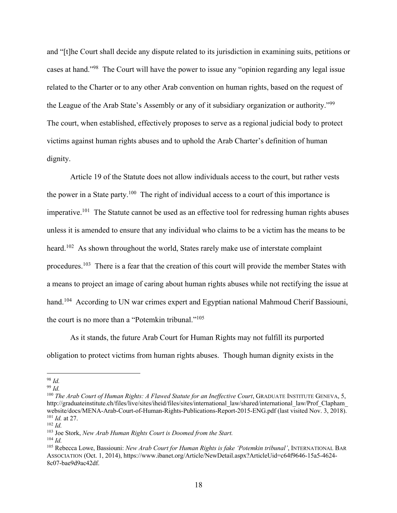and "[t]he Court shall decide any dispute related to its jurisdiction in examining suits, petitions or cases at hand."98 The Court will have the power to issue any "opinion regarding any legal issue related to the Charter or to any other Arab convention on human rights, based on the request of the League of the Arab State's Assembly or any of it subsidiary organization or authority."99 The court, when established, effectively proposes to serve as a regional judicial body to protect victims against human rights abuses and to uphold the Arab Charter's definition of human dignity.

Article 19 of the Statute does not allow individuals access to the court, but rather vests the power in a State party.100 The right of individual access to a court of this importance is imperative.<sup>101</sup> The Statute cannot be used as an effective tool for redressing human rights abuses unless it is amended to ensure that any individual who claims to be a victim has the means to be heard.<sup>102</sup> As shown throughout the world, States rarely make use of interstate complaint procedures.103 There is a fear that the creation of this court will provide the member States with a means to project an image of caring about human rights abuses while not rectifying the issue at hand.<sup>104</sup> According to UN war crimes expert and Egyptian national Mahmoud Cherif Bassiouni, the court is no more than a "Potemkin tribunal."105

As it stands, the future Arab Court for Human Rights may not fulfill its purported obligation to protect victims from human rights abuses. Though human dignity exists in the

<sup>98</sup> *Id.*

 $\overline{a}$ 

<sup>99</sup> *Id.*

<sup>&</sup>lt;sup>100</sup> The Arab Court of Human Rights: A Flawed Statute for an Ineffective Court, GRADUATE INSTITUTE GENEVA, 5, http://graduateinstitute.ch/files/live/sites/iheid/files/sites/international\_law/shared/international\_law/Prof\_Clapham\_ website/docs/MENA-Arab-Court-of-Human-Rights-Publications-Report-2015-ENG.pdf (last visited Nov. 3, 2018). <sup>101</sup> *Id.* at 27.

<sup>102</sup> *Id.*

<sup>103</sup> Joe Stork, *New Arab Human Rights Court is Doomed from the Start.*

<sup>104</sup> *Id.*

<sup>105</sup> Rebecca Lowe, Bassiouni: *New Arab Court for Human Rights is fake 'Potemkin tribunal'*, INTERNATIONAL BAR ASSOCIATION (Oct. 1, 2014), https://www.ibanet.org/Article/NewDetail.aspx?ArticleUid=c64f9646-15a5-4624- 8c07-bae9d9ac42df.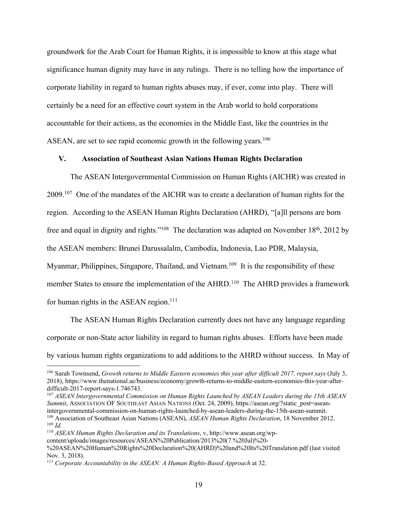groundwork for the Arab Court for Human Rights, it is impossible to know at this stage what significance human dignity may have in any rulings. There is no telling how the importance of corporate liability in regard to human rights abuses may, if ever, come into play. There will certainly be a need for an effective court system in the Arab world to hold corporations accountable for their actions, as the economies in the Middle East, like the countries in the ASEAN, are set to see rapid economic growth in the following years.<sup>106</sup>

### **V. Association of Southeast Asian Nations Human Rights Declaration**

The ASEAN Intergovernmental Commission on Human Rights (AICHR) was created in 2009.<sup>107</sup> One of the mandates of the AICHR was to create a declaration of human rights for the region. According to the ASEAN Human Rights Declaration (AHRD), "[a]ll persons are born free and equal in dignity and rights."<sup>108</sup> The declaration was adapted on November 18<sup>th</sup>, 2012 by the ASEAN members: Brunei Darussalalm, Cambodia, Indonesia, Lao PDR, Malaysia, Myanmar, Philippines, Singapore, Thailand, and Vietnam.<sup>109</sup> It is the responsibility of these member States to ensure the implementation of the AHRD.<sup>110</sup> The AHRD provides a framework for human rights in the ASEAN region. $111$ 

The ASEAN Human Rights Declaration currently does not have any language regarding corporate or non-State actor liability in regard to human rights abuses. Efforts have been made by various human rights organizations to add additions to the AHRD without success. In May of

<sup>107</sup> *ASEAN Intergovernmental Commission on Human Rights Launched by ASEAN Leaders during the 15th ASEAN Summit*, ASSOCIATION OF SOUTHEAST ASIAN NATIONS (Oct. 24, 2009), https://asean.org/?static\_post=aseanintergovernmental-commission-on-human-rights-launched-by-asean-leaders-during-the-15th-asean-summit. <sup>108</sup> Association of Southeast Asian Nations (ASEAN), *ASEAN Human Rights Declaration*, 18 November 2012. <sup>109</sup> *Id.*

<sup>110</sup> *ASEAN Human Rights Declaration and its Translations*, v, http://www.asean.org/wpcontent/uploads/images/resources/ASEAN%20Publication/2013%20(7.%20Jul)%20- %20ASEAN%20Human%20Rights%20Declaration%20(AHRD)%20and%20Its%20Translation.pdf (last visited Nov. 3, 2018).

<sup>106</sup> Sarah Townsend, *Growth returns to Middle Eastern economies this year after difficult 2017, report says* (July 3, 2018), https://www.thenational.ae/business/economy/growth-returns-to-middle-eastern-economies-this-year-afterdifficult-2017-report-says-1.746743.

<sup>111</sup> *Corporate Accountability in the ASEAN: A Human Rights-Based Approach* at 32.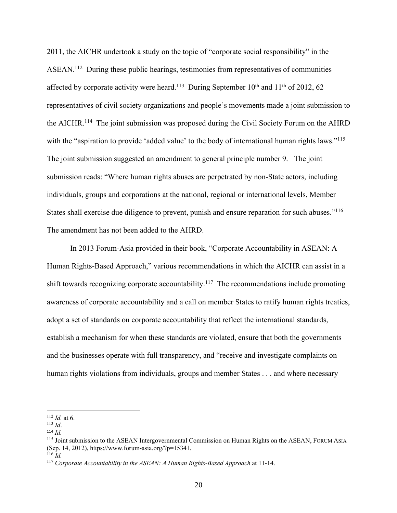2011, the AICHR undertook a study on the topic of "corporate social responsibility" in the ASEAN.112 During these public hearings, testimonies from representatives of communities affected by corporate activity were heard.<sup>113</sup> During September  $10^{th}$  and  $11^{th}$  of 2012, 62 representatives of civil society organizations and people's movements made a joint submission to the AICHR.<sup>114</sup> The joint submission was proposed during the Civil Society Forum on the AHRD with the "aspiration to provide 'added value' to the body of international human rights laws."<sup>115</sup> The joint submission suggested an amendment to general principle number 9. The joint submission reads: "Where human rights abuses are perpetrated by non-State actors, including individuals, groups and corporations at the national, regional or international levels, Member States shall exercise due diligence to prevent, punish and ensure reparation for such abuses."<sup>116</sup> The amendment has not been added to the AHRD.

In 2013 Forum-Asia provided in their book, "Corporate Accountability in ASEAN: A Human Rights-Based Approach," various recommendations in which the AICHR can assist in a shift towards recognizing corporate accountability.<sup>117</sup> The recommendations include promoting awareness of corporate accountability and a call on member States to ratify human rights treaties, adopt a set of standards on corporate accountability that reflect the international standards, establish a mechanism for when these standards are violated, ensure that both the governments and the businesses operate with full transparency, and "receive and investigate complaints on human rights violations from individuals, groups and member States . . . and where necessary

<sup>112</sup> *Id.* at 6.

<sup>113</sup> *Id*.

<sup>114</sup> *Id.*

<sup>115</sup> Joint submission to the ASEAN Intergovernmental Commission on Human Rights on the ASEAN, FORUM ASIA (Sep. 14, 2012), https://www.forum-asia.org/?p=15341.

 $116$  *Id.* 

<sup>117</sup> *Corporate Accountability in the ASEAN: A Human Rights-Based Approach* at 11-14.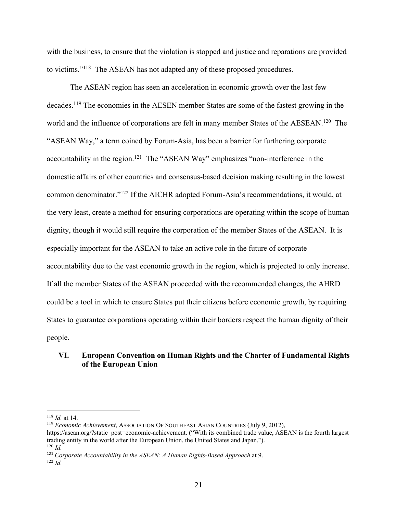with the business, to ensure that the violation is stopped and justice and reparations are provided to victims."118 The ASEAN has not adapted any of these proposed procedures.

The ASEAN region has seen an acceleration in economic growth over the last few decades.119 The economies in the AESEN member States are some of the fastest growing in the world and the influence of corporations are felt in many member States of the AESEAN.<sup>120</sup> The "ASEAN Way," a term coined by Forum-Asia, has been a barrier for furthering corporate accountability in the region.<sup>121</sup> The "ASEAN Way" emphasizes "non-interference in the domestic affairs of other countries and consensus-based decision making resulting in the lowest common denominator."122 If the AICHR adopted Forum-Asia's recommendations, it would, at the very least, create a method for ensuring corporations are operating within the scope of human dignity, though it would still require the corporation of the member States of the ASEAN. It is especially important for the ASEAN to take an active role in the future of corporate accountability due to the vast economic growth in the region, which is projected to only increase. If all the member States of the ASEAN proceeded with the recommended changes, the AHRD could be a tool in which to ensure States put their citizens before economic growth, by requiring States to guarantee corporations operating within their borders respect the human dignity of their people.

# **VI. European Convention on Human Rights and the Charter of Fundamental Rights of the European Union**

<sup>118</sup> *Id.* at 14.

<sup>119</sup> *Economic Achievement*, ASSOCIATION OF SOUTHEAST ASIAN COUNTRIES (July 9, 2012),

https://asean.org/?static\_post=economic-achievement. ("With its combined trade value, ASEAN is the fourth largest trading entity in the world after the European Union, the United States and Japan."). <sup>120</sup> *Id.*

<sup>121</sup> *Corporate Accountability in the ASEAN: A Human Rights-Based Approach* at 9.

<sup>122</sup> *Id.*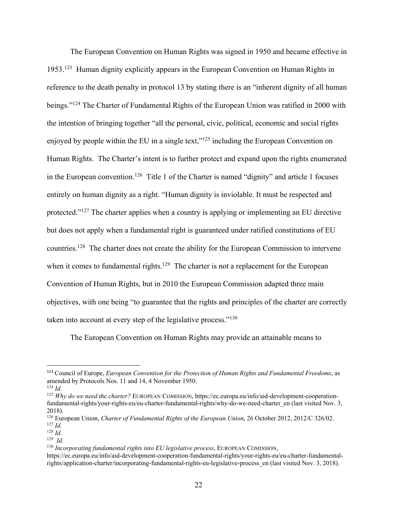The European Convention on Human Rights was signed in 1950 and became effective in 1953.123 Human dignity explicitly appears in the European Convention on Human Rights in reference to the death penalty in protocol 13 by stating there is an "inherent dignity of all human beings."124 The Charter of Fundamental Rights of the European Union was ratified in 2000 with the intention of bringing together "all the personal, civic, political, economic and social rights enjoyed by people within the EU in a single text,"<sup>125</sup> including the European Convention on Human Rights. The Charter's intent is to further protect and expand upon the rights enumerated in the European convention.<sup>126</sup> Title 1 of the Charter is named "dignity" and article 1 focuses entirely on human dignity as a right. "Human dignity is inviolable. It must be respected and protected."127 The charter applies when a country is applying or implementing an EU directive but does not apply when a fundamental right is guaranteed under ratified constitutions of EU countries.128 The charter does not create the ability for the European Commission to intervene when it comes to fundamental rights.<sup>129</sup> The charter is not a replacement for the European Convention of Human Rights, but in 2010 the European Commission adapted three main objectives, with one being "to guarantee that the rights and principles of the charter are correctly taken into account at every step of the legislative process."<sup>130</sup>

The European Convention on Human Rights may provide an attainable means to

 <sup>123</sup> Council of Europe, *European Convention for the Protection of Human Rights and Fundamental Freedoms*, as amended by Protocols Nos. 11 and 14, 4 November 1950.

 $124$  *Id.* 

<sup>&</sup>lt;sup>125</sup> *Why do we need the charter?* EUROPEAN COMISSION, https://ec.europa.eu/info/aid-development-cooperationfundamental-rights/your-rights-eu/eu-charter-fundamental-rights/why-do-we-need-charter\_en (last visited Nov. 3, 2018).

<sup>126</sup> European Union, *Charter of Fundamental Rights of the European Union*, 26 October 2012, 2012/C 326/02. <sup>127</sup> *Id.*

<sup>128</sup> *Id.*

<sup>129</sup> *Id.*

<sup>130</sup> *Incorporating fundamental rights into EU legislative process*, EUROPEAN COMISSION,

https://ec.europa.eu/info/aid-development-cooperation-fundamental-rights/your-rights-eu/eu-charter-fundamentalrights/application-charter/incorporating-fundamental-rights-eu-legislative-process\_en (last visited Nov. 3, 2018).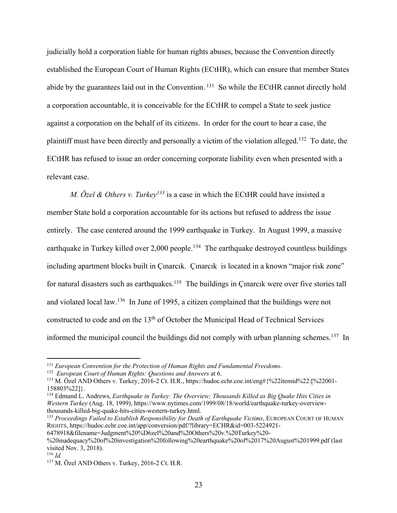judicially hold a corporation liable for human rights abuses, because the Convention directly established the European Court of Human Rights (ECtHR), which can ensure that member States abide by the guarantees laid out in the Convention. <sup>131</sup> So while the ECtHR cannot directly hold a corporation accountable, it is conceivable for the ECtHR to compel a State to seek justice against a corporation on the behalf of its citizens. In order for the court to hear a case, the plaintiff must have been directly and personally a victim of the violation alleged.132 To date, the ECtHR has refused to issue an order concerning corporate liability even when presented with a relevant case.

*M. Özel & Others v. Turkey<sup>133</sup>* is a case in which the ECtHR could have insisted a member State hold a corporation accountable for its actions but refused to address the issue entirely. The case centered around the 1999 earthquake in Turkey. In August 1999, a massive earthquake in Turkey killed over  $2,000$  people.<sup>134</sup> The earthquake destroyed countless buildings including apartment blocks built in Çınarcık. Çınarcık is located in a known "major risk zone" for natural disasters such as earthquakes.<sup>135</sup> The buildings in Çinarcik were over five stories tall and violated local law.136 In June of 1995, a citizen complained that the buildings were not constructed to code and on the 13<sup>th</sup> of October the Municipal Head of Technical Services informed the municipal council the buildings did not comply with urban planning schemes.<sup>137</sup> In

<sup>131</sup> *European Convention for the Protection of Human Rights and Fundamental Freedoms*.

<sup>132</sup> *European Court of Human Rights: Questions and Answers* at 6.

<sup>133</sup> M. Özel AND Others v. Turkey, 2016-2 Ct. H.R., https://hudoc.echr.coe.int/eng#{%22itemid%22:[%22001- 158803%22]}.

<sup>134</sup> Edmund L. Andrews, *Earthquake in Turkey: The Overview; Thousands Killed as Big Quake Hits Cities in Western Turkey* (Aug. 18, 1999), https://www.nytimes.com/1999/08/18/world/earthquake-turkey-overviewthousands-killed-big-quake-hits-cities-western-turkey.html.

<sup>135</sup> *Proceedings Failed to Establish Responsibility for Death of Earthquake Victims*, EUROPEAN COURT OF HUMAN RIGHTS, https://hudoc.echr.coe.int/app/conversion/pdf/?library=ECHR&id=003-5224921- 6478918&filename=Judgment%20%D6zel%20and%20Others%20v.%20Turkey%20-

<sup>%20</sup>inadequacy%20of%20investigation%20following%20earthquake%20of%2017%20August%201999.pdf (last

visited Nov. 3, 2018).

<sup>136</sup> *Id.*

<sup>&</sup>lt;sup>137</sup> M. Özel AND Others v. Turkey, 2016-2 Ct. H.R.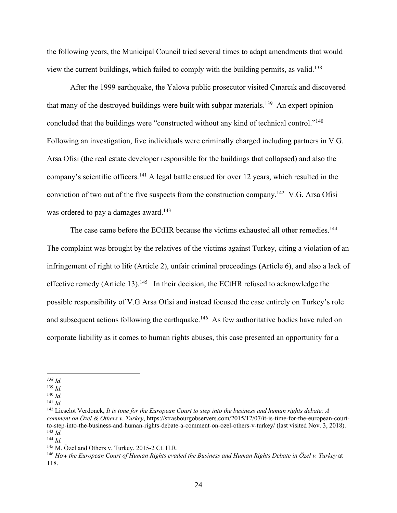the following years, the Municipal Council tried several times to adapt amendments that would view the current buildings, which failed to comply with the building permits, as valid. 138

After the 1999 earthquake, the Yalova public prosecutor visited Çınarcık and discovered that many of the destroyed buildings were built with subpar materials.139 An expert opinion concluded that the buildings were "constructed without any kind of technical control."140 Following an investigation, five individuals were criminally charged including partners in V.G. Arsa Ofisi (the real estate developer responsible for the buildings that collapsed) and also the company's scientific officers.141 A legal battle ensued for over 12 years, which resulted in the conviction of two out of the five suspects from the construction company.142 V.G. Arsa Ofisi was ordered to pay a damages award.<sup>143</sup>

The case came before the ECtHR because the victims exhausted all other remedies.<sup>144</sup> The complaint was brought by the relatives of the victims against Turkey, citing a violation of an infringement of right to life (Article 2), unfair criminal proceedings (Article 6), and also a lack of effective remedy (Article 13).<sup>145</sup> In their decision, the ECtHR refused to acknowledge the possible responsibility of V.G Arsa Ofisi and instead focused the case entirely on Turkey's role and subsequent actions following the earthquake.<sup>146</sup> As few authoritative bodies have ruled on corporate liability as it comes to human rights abuses, this case presented an opportunity for a

*<sup>138</sup> Id.*

<sup>139</sup> *Id.*

<sup>140</sup> *Id.*

<sup>141</sup> *Id.*

<sup>142</sup> Lieselot Verdonck, *It is time for the European Court to step into the business and human rights debate: A comment on Özel & Others v. Turkey*, https://strasbourgobservers.com/2015/12/07/it-is-time-for-the-european-courtto-step-into-the-business-and-human-rights-debate-a-comment-on-ozel-others-v-turkey/ (last visited Nov. 3, 2018). <sup>143</sup> *Id.*

<sup>144</sup> *Id.*

<sup>&</sup>lt;sup>145</sup> M. Özel and Others v. Turkey, 2015-2 Ct. H.R.

<sup>146</sup> *How the European Court of Human Rights evaded the Business and Human Rights Debate in Özel v. Turkey* at 118.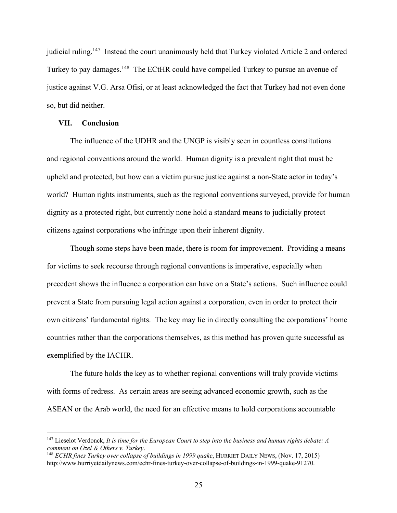judicial ruling.<sup>147</sup> Instead the court unanimously held that Turkey violated Article 2 and ordered Turkey to pay damages.<sup>148</sup> The ECtHR could have compelled Turkey to pursue an avenue of justice against V.G. Arsa Ofisi, or at least acknowledged the fact that Turkey had not even done so, but did neither.

#### **VII. Conclusion**

 $\overline{a}$ 

The influence of the UDHR and the UNGP is visibly seen in countless constitutions and regional conventions around the world. Human dignity is a prevalent right that must be upheld and protected, but how can a victim pursue justice against a non-State actor in today's world? Human rights instruments, such as the regional conventions surveyed, provide for human dignity as a protected right, but currently none hold a standard means to judicially protect citizens against corporations who infringe upon their inherent dignity.

Though some steps have been made, there is room for improvement. Providing a means for victims to seek recourse through regional conventions is imperative, especially when precedent shows the influence a corporation can have on a State's actions. Such influence could prevent a State from pursuing legal action against a corporation, even in order to protect their own citizens' fundamental rights. The key may lie in directly consulting the corporations' home countries rather than the corporations themselves, as this method has proven quite successful as exemplified by the IACHR.

The future holds the key as to whether regional conventions will truly provide victims with forms of redress. As certain areas are seeing advanced economic growth, such as the ASEAN or the Arab world, the need for an effective means to hold corporations accountable

<sup>147</sup> Lieselot Verdonck, *It is time for the European Court to step into the business and human rights debate: A comment on Özel & Others v. Turkey*.

<sup>148</sup> *ECHR fines Turkey over collapse of buildings in 1999 quake*, HURRIET DAILY NEWS, (Nov. 17, 2015) http://www.hurriyetdailynews.com/echr-fines-turkey-over-collapse-of-buildings-in-1999-quake-91270.